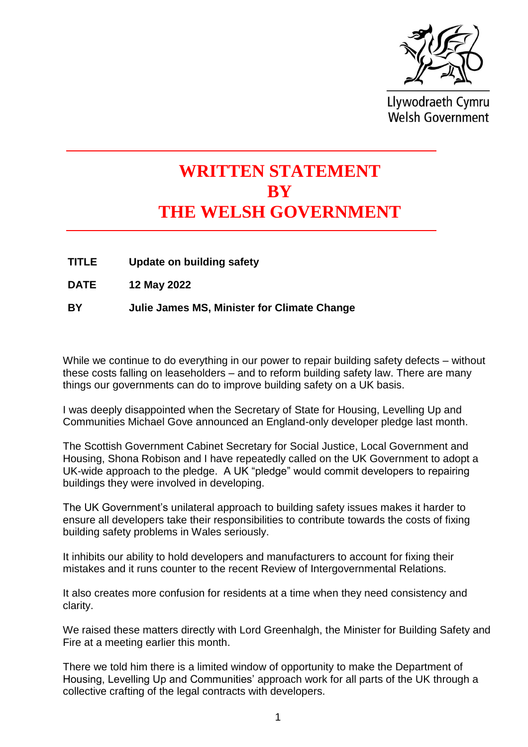

Llywodraeth Cymru **Welsh Government** 

## **WRITTEN STATEMENT BY THE WELSH GOVERNMENT**

- **TITLE Update on building safety**
- **DATE 12 May 2022**

**BY Julie James MS, Minister for Climate Change**

While we continue to do everything in our power to repair building safety defects – without these costs falling on leaseholders – and to reform building safety law. There are many things our governments can do to improve building safety on a UK basis.

I was deeply disappointed when the Secretary of State for Housing, Levelling Up and Communities Michael Gove announced an England-only developer pledge last month.

The Scottish Government Cabinet Secretary for Social Justice, Local Government and Housing, Shona Robison and I have repeatedly called on the UK Government to adopt a UK-wide approach to the pledge. A UK "pledge" would commit developers to repairing buildings they were involved in developing.

The UK Government's unilateral approach to building safety issues makes it harder to ensure all developers take their responsibilities to contribute towards the costs of fixing building safety problems in Wales seriously.

It inhibits our ability to hold developers and manufacturers to account for fixing their mistakes and it runs counter to the recent Review of Intergovernmental Relations.

It also creates more confusion for residents at a time when they need consistency and clarity.

We raised these matters directly with Lord Greenhalgh, the Minister for Building Safety and Fire at a meeting earlier this month.

There we told him there is a limited window of opportunity to make the Department of Housing, Levelling Up and Communities' approach work for all parts of the UK through a collective crafting of the legal contracts with developers.